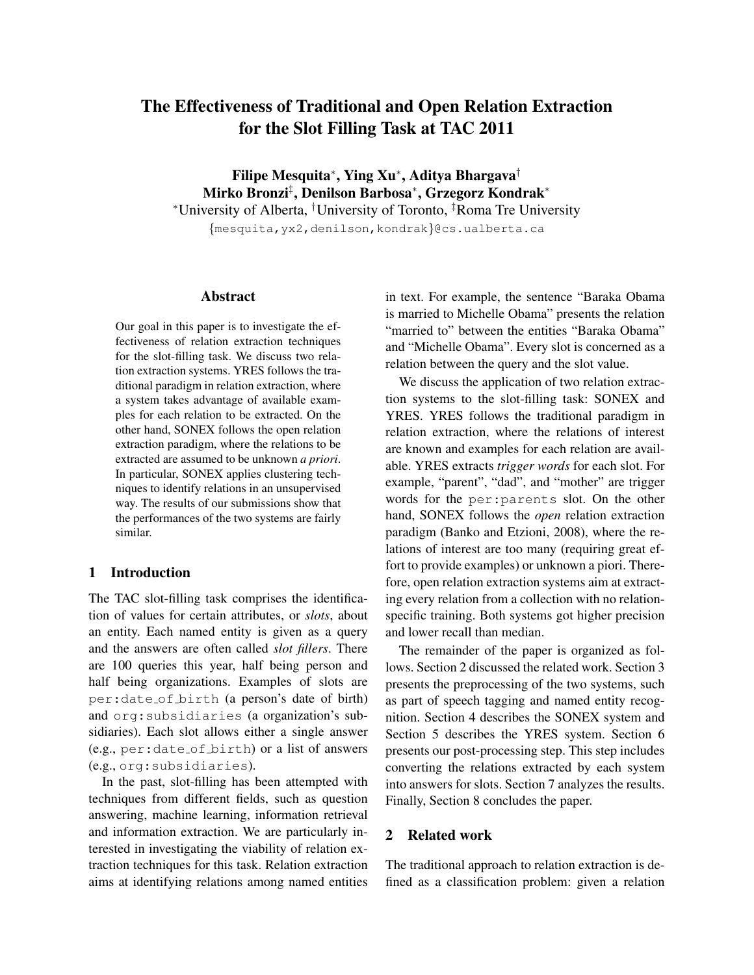# The Effectiveness of Traditional and Open Relation Extraction for the Slot Filling Task at TAC 2011

Filipe Mesquita⇤, Ying Xu⇤, Aditya Bhargava*†* Mirko Bronzi<sup>‡</sup>, Denilson Barbosa\*, Grzegorz Kondrak\* ⇤University of Alberta, *†* University of Toronto, *‡* Roma Tre University *{*mesquita,yx2,denilson,kondrak*}*@cs.ualberta.ca

# Abstract

Our goal in this paper is to investigate the effectiveness of relation extraction techniques for the slot-filling task. We discuss two relation extraction systems. YRES follows the traditional paradigm in relation extraction, where a system takes advantage of available examples for each relation to be extracted. On the other hand, SONEX follows the open relation extraction paradigm, where the relations to be extracted are assumed to be unknown *a priori*. In particular, SONEX applies clustering techniques to identify relations in an unsupervised way. The results of our submissions show that the performances of the two systems are fairly similar.

# 1 Introduction

The TAC slot-filling task comprises the identification of values for certain attributes, or *slots*, about an entity. Each named entity is given as a query and the answers are often called *slot fillers*. There are 100 queries this year, half being person and half being organizations. Examples of slots are per:date of birth (a person's date of birth) and org:subsidiaries (a organization's subsidiaries). Each slot allows either a single answer (e.g., per:date of birth) or a list of answers (e.g., org:subsidiaries).

In the past, slot-filling has been attempted with techniques from different fields, such as question answering, machine learning, information retrieval and information extraction. We are particularly interested in investigating the viability of relation extraction techniques for this task. Relation extraction aims at identifying relations among named entities

in text. For example, the sentence "Baraka Obama is married to Michelle Obama" presents the relation "married to" between the entities "Baraka Obama" and "Michelle Obama". Every slot is concerned as a relation between the query and the slot value.

We discuss the application of two relation extraction systems to the slot-filling task: SONEX and YRES. YRES follows the traditional paradigm in relation extraction, where the relations of interest are known and examples for each relation are available. YRES extracts *trigger words* for each slot. For example, "parent", "dad", and "mother" are trigger words for the per:parents slot. On the other hand, SONEX follows the *open* relation extraction paradigm [\(Banko and Etzioni, 2008\)](#page-5-0), where the relations of interest are too many (requiring great effort to provide examples) or unknown a piori. Therefore, open relation extraction systems aim at extracting every relation from a collection with no relationspecific training. Both systems got higher precision and lower recall than median.

The remainder of the paper is organized as follows. Section [2](#page-0-0) discussed the related work. Section [3](#page-1-0) presents the preprocessing of the two systems, such as part of speech tagging and named entity recognition. Section [4](#page-1-1) describes the SONEX system and Section [5](#page-3-0) describes the YRES system. Section [6](#page-3-1) presents our post-processing step. This step includes converting the relations extracted by each system into answers for slots. Section [7](#page-4-0) analyzes the results. Finally, Section [8](#page-5-1) concludes the paper.

### <span id="page-0-0"></span>2 Related work

The traditional approach to relation extraction is defined as a classification problem: given a relation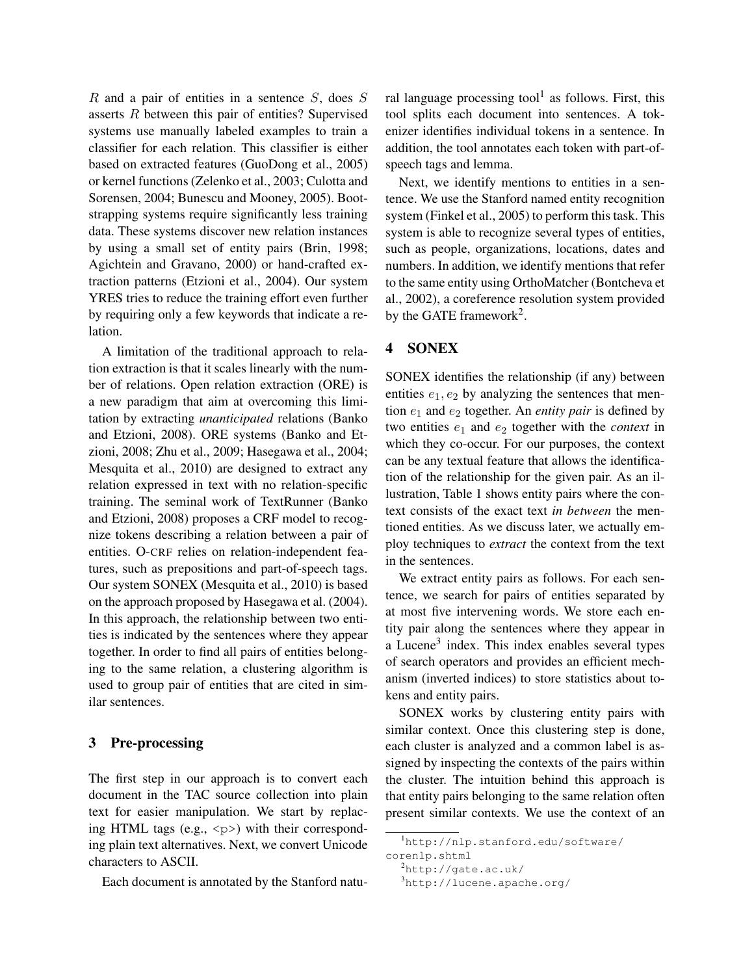*R* and a pair of entities in a sentence *S*, does *S* asserts *R* between this pair of entities? Supervised systems use manually labeled examples to train a classifier for each relation. This classifier is either based on extracted features [\(GuoDong et al., 2005\)](#page-6-0) or kernel functions [\(Zelenko et al., 2003;](#page-6-1) [Culotta and](#page-6-2) [Sorensen, 2004;](#page-6-2) [Bunescu and Mooney, 2005\)](#page-6-3). Bootstrapping systems require significantly less training data. These systems discover new relation instances by using a small set of entity pairs [\(Brin, 1998;](#page-6-4) [Agichtein and Gravano, 2000\)](#page-5-2) or hand-crafted extraction patterns [\(Etzioni et al., 2004\)](#page-6-5). Our system YRES tries to reduce the training effort even further by requiring only a few keywords that indicate a relation.

A limitation of the traditional approach to relation extraction is that it scales linearly with the number of relations. Open relation extraction (ORE) is a new paradigm that aim at overcoming this limitation by extracting *unanticipated* relations [\(Banko](#page-5-0) [and Etzioni, 2008\)](#page-5-0). ORE systems [\(Banko and Et](#page-5-0)[zioni, 2008;](#page-5-0) [Zhu et al., 2009;](#page-6-6) [Hasegawa et al., 2004;](#page-6-7) [Mesquita et al., 2010\)](#page-6-8) are designed to extract any relation expressed in text with no relation-specific training. The seminal work of TextRunner [\(Banko](#page-5-0) [and Etzioni, 2008\)](#page-5-0) proposes a CRF model to recognize tokens describing a relation between a pair of entities. O-CRF relies on relation-independent features, such as prepositions and part-of-speech tags. Our system SONEX [\(Mesquita et al., 2010\)](#page-6-8) is based on the approach proposed by [Hasegawa et al. \(2004\)](#page-6-7). In this approach, the relationship between two entities is indicated by the sentences where they appear together. In order to find all pairs of entities belonging to the same relation, a clustering algorithm is used to group pair of entities that are cited in similar sentences.

# <span id="page-1-0"></span>3 Pre-processing

The first step in our approach is to convert each document in the TAC source collection into plain text for easier manipulation. We start by replacing HTML tags (e.g.,  $\langle p \rangle$ ) with their corresponding plain text alternatives. Next, we convert Unicode characters to ASCII.

Each document is annotated by the Stanford natu-

ral language processing tool<sup>1</sup> as follows. First, this tool splits each document into sentences. A tokenizer identifies individual tokens in a sentence. In addition, the tool annotates each token with part-ofspeech tags and lemma.

Next, we identify mentions to entities in a sentence. We use the Stanford named entity recognition system [\(Finkel et al., 2005\)](#page-6-9) to perform this task. This system is able to recognize several types of entities, such as people, organizations, locations, dates and numbers. In addition, we identify mentions that refer to the same entity using OrthoMatcher [\(Bontcheva et](#page-5-3) [al., 2002\)](#page-5-3), a coreference resolution system provided by the GATE framework<sup>2</sup>.

# <span id="page-1-1"></span>4 SONEX

SONEX identifies the relationship (if any) between entities  $e_1, e_2$  by analyzing the sentences that mention *e*<sup>1</sup> and *e*<sup>2</sup> together. An *entity pair* is defined by two entities *e*<sup>1</sup> and *e*<sup>2</sup> together with the *context* in which they co-occur. For our purposes, the context can be any textual feature that allows the identification of the relationship for the given pair. As an illustration, Table [1](#page-2-0) shows entity pairs where the context consists of the exact text *in between* the mentioned entities. As we discuss later, we actually employ techniques to *extract* the context from the text in the sentences.

We extract entity pairs as follows. For each sentence, we search for pairs of entities separated by at most five intervening words. We store each entity pair along the sentences where they appear in a Lucene<sup>[3](#page-1-4)</sup> index. This index enables several types of search operators and provides an efficient mechanism (inverted indices) to store statistics about tokens and entity pairs.

SONEX works by clustering entity pairs with similar context. Once this clustering step is done, each cluster is analyzed and a common label is assigned by inspecting the contexts of the pairs within the cluster. The intuition behind this approach is that entity pairs belonging to the same relation often present similar contexts. We use the context of an

<span id="page-1-2"></span><sup>1</sup> [http://nlp.stanford.edu/software/](http://nlp.stanford.edu/software/corenlp.shtml) [corenlp.shtml](http://nlp.stanford.edu/software/corenlp.shtml)

<span id="page-1-3"></span><sup>2</sup> <http://gate.ac.uk/>

<span id="page-1-4"></span><sup>3</sup> <http://lucene.apache.org/>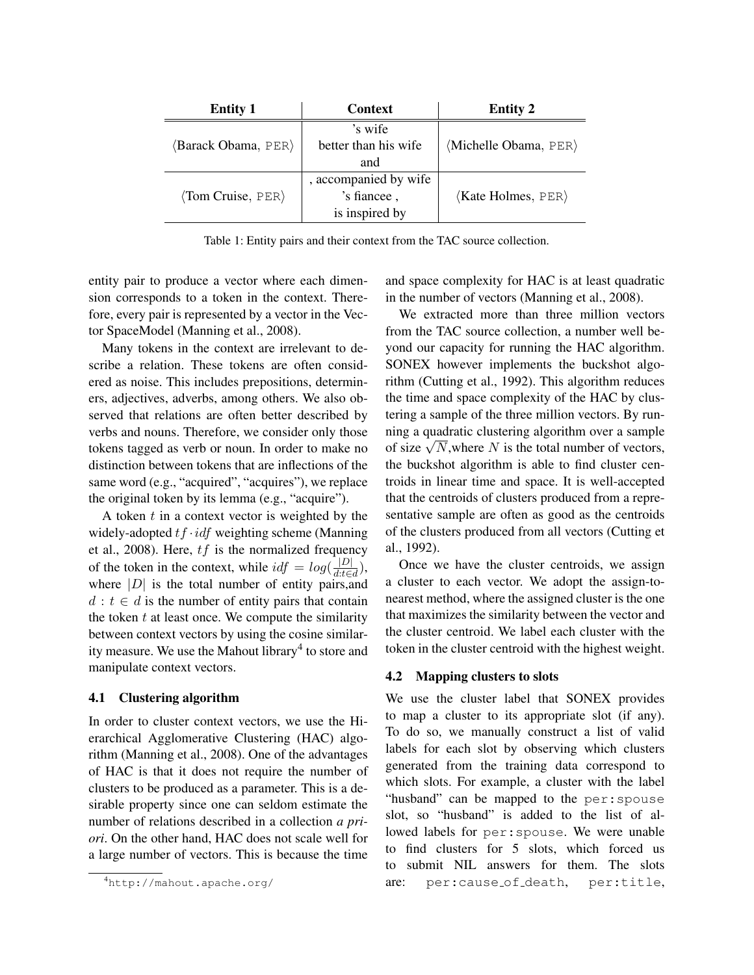<span id="page-2-0"></span>

| <b>Entity 1</b>                     | <b>Context</b>        | <b>Entity 2</b>                      |
|-------------------------------------|-----------------------|--------------------------------------|
|                                     | 's wife               |                                      |
| (Barack Obama, PER)                 | better than his wife  | (Michelle Obama, PER)                |
|                                     | and                   |                                      |
|                                     | , accompanied by wife |                                      |
| $\langle$ Tom Cruise, PER $\rangle$ | 's fiancee,           | $\langle$ Kate Holmes, PER $\rangle$ |
|                                     | is inspired by        |                                      |

Table 1: Entity pairs and their context from the TAC source collection.

entity pair to produce a vector where each dimension corresponds to a token in the context. Therefore, every pair is represented by a vector in the Vector SpaceModel [\(Manning et al., 2008\)](#page-6-10).

Many tokens in the context are irrelevant to describe a relation. These tokens are often considered as noise. This includes prepositions, determiners, adjectives, adverbs, among others. We also observed that relations are often better described by verbs and nouns. Therefore, we consider only those tokens tagged as verb or noun. In order to make no distinction between tokens that are inflections of the same word (e.g., "acquired", "acquires"), we replace the original token by its lemma (e.g., "acquire").

A token *t* in a context vector is weighted by the widely-adopted *tf ·idf* weighting scheme [\(Manning](#page-6-10) [et al., 2008\)](#page-6-10). Here, *tf* is the normalized frequency of the token in the context, while  $\operatorname{id} f = \log(\frac{|D|}{d:\text{te}d})$ , where  $|D|$  is the total number of entity pairs, and  $d : t \in d$  is the number of entity pairs that contain the token *t* at least once. We compute the similarity between context vectors by using the cosine similar-ity measure. We use the Mahout library<sup>[4](#page-2-1)</sup> to store and manipulate context vectors.

### 4.1 Clustering algorithm

In order to cluster context vectors, we use the Hierarchical Agglomerative Clustering (HAC) algorithm [\(Manning et al., 2008\)](#page-6-10). One of the advantages of HAC is that it does not require the number of clusters to be produced as a parameter. This is a desirable property since one can seldom estimate the number of relations described in a collection *a priori*. On the other hand, HAC does not scale well for a large number of vectors. This is because the time and space complexity for HAC is at least quadratic in the number of vectors [\(Manning et al., 2008\)](#page-6-10).

We extracted more than three million vectors from the TAC source collection, a number well beyond our capacity for running the HAC algorithm. SONEX however implements the buckshot algorithm [\(Cutting et al., 1992\)](#page-6-11). This algorithm reduces the time and space complexity of the HAC by clustering a sample of the three million vectors. By running a quadratic clustering algorithm over a sample of size  $\sqrt{N}$ , where *N* is the total number of vectors, the buckshot algorithm is able to find cluster centroids in linear time and space. It is well-accepted that the centroids of clusters produced from a representative sample are often as good as the centroids of the clusters produced from all vectors [\(Cutting et](#page-6-11) [al., 1992\)](#page-6-11).

Once we have the cluster centroids, we assign a cluster to each vector. We adopt the assign-tonearest method, where the assigned cluster is the one that maximizes the similarity between the vector and the cluster centroid. We label each cluster with the token in the cluster centroid with the highest weight.

### 4.2 Mapping clusters to slots

We use the cluster label that SONEX provides to map a cluster to its appropriate slot (if any). To do so, we manually construct a list of valid labels for each slot by observing which clusters generated from the training data correspond to which slots. For example, a cluster with the label "husband" can be mapped to the per:spouse slot, so "husband" is added to the list of allowed labels for per:spouse. We were unable to find clusters for 5 slots, which forced us to submit NIL answers for them. The slots are: per:cause of death, per:title,

<span id="page-2-1"></span><sup>4</sup> <http://mahout.apache.org/>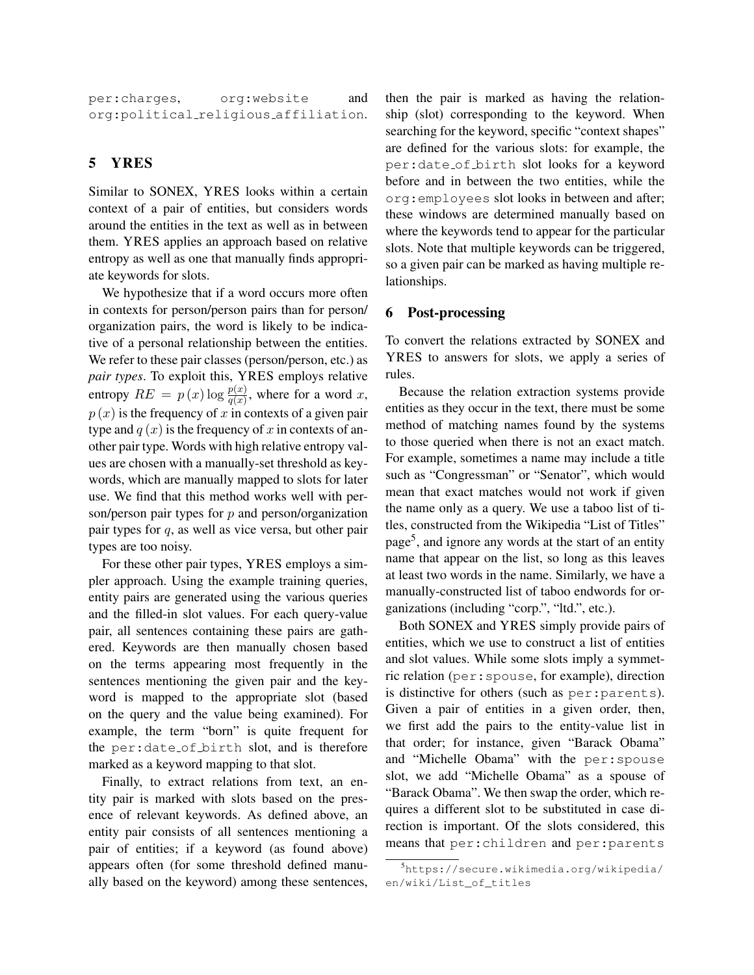per:charges, org:website and org:political religious affiliation.

# <span id="page-3-0"></span>5 YRES

Similar to SONEX, YRES looks within a certain context of a pair of entities, but considers words around the entities in the text as well as in between them. YRES applies an approach based on relative entropy as well as one that manually finds appropriate keywords for slots.

We hypothesize that if a word occurs more often in contexts for person/person pairs than for person/ organization pairs, the word is likely to be indicative of a personal relationship between the entities. We refer to these pair classes (person/person, etc.) as *pair types*. To exploit this, YRES employs relative entropy  $RE = p(x) \log \frac{p(x)}{q(x)}$ , where for a word *x*,  $p(x)$  is the frequency of *x* in contexts of a given pair type and  $q(x)$  is the frequency of x in contexts of another pair type. Words with high relative entropy values are chosen with a manually-set threshold as keywords, which are manually mapped to slots for later use. We find that this method works well with person/person pair types for *p* and person/organization pair types for *q*, as well as vice versa, but other pair types are too noisy.

For these other pair types, YRES employs a simpler approach. Using the example training queries, entity pairs are generated using the various queries and the filled-in slot values. For each query-value pair, all sentences containing these pairs are gathered. Keywords are then manually chosen based on the terms appearing most frequently in the sentences mentioning the given pair and the keyword is mapped to the appropriate slot (based on the query and the value being examined). For example, the term "born" is quite frequent for the per:date of birth slot, and is therefore marked as a keyword mapping to that slot.

Finally, to extract relations from text, an entity pair is marked with slots based on the presence of relevant keywords. As defined above, an entity pair consists of all sentences mentioning a pair of entities; if a keyword (as found above) appears often (for some threshold defined manually based on the keyword) among these sentences, then the pair is marked as having the relationship (slot) corresponding to the keyword. When searching for the keyword, specific "context shapes" are defined for the various slots: for example, the per:date of birth slot looks for a keyword before and in between the two entities, while the org:employees slot looks in between and after; these windows are determined manually based on where the keywords tend to appear for the particular slots. Note that multiple keywords can be triggered, so a given pair can be marked as having multiple relationships.

### <span id="page-3-1"></span>6 Post-processing

To convert the relations extracted by SONEX and YRES to answers for slots, we apply a series of rules.

Because the relation extraction systems provide entities as they occur in the text, there must be some method of matching names found by the systems to those queried when there is not an exact match. For example, sometimes a name may include a title such as "Congressman" or "Senator", which would mean that exact matches would not work if given the name only as a query. We use a taboo list of titles, constructed from the Wikipedia "List of Titles" page<sup>5</sup>, and ignore any words at the start of an entity name that appear on the list, so long as this leaves at least two words in the name. Similarly, we have a manually-constructed list of taboo endwords for organizations (including "corp.", "ltd.", etc.).

Both SONEX and YRES simply provide pairs of entities, which we use to construct a list of entities and slot values. While some slots imply a symmetric relation (per:spouse, for example), direction is distinctive for others (such as per:parents). Given a pair of entities in a given order, then, we first add the pairs to the entity-value list in that order; for instance, given "Barack Obama" and "Michelle Obama" with the per:spouse slot, we add "Michelle Obama" as a spouse of "Barack Obama". We then swap the order, which requires a different slot to be substituted in case direction is important. Of the slots considered, this means that per:children and per:parents

<span id="page-3-2"></span><sup>5</sup> [https://secure.wikimedia.org/wikipedia/](https://secure.wikimedia.org/wikipedia/en/wiki/List_of_titles) [en/wiki/List\\_of\\_titles](https://secure.wikimedia.org/wikipedia/en/wiki/List_of_titles)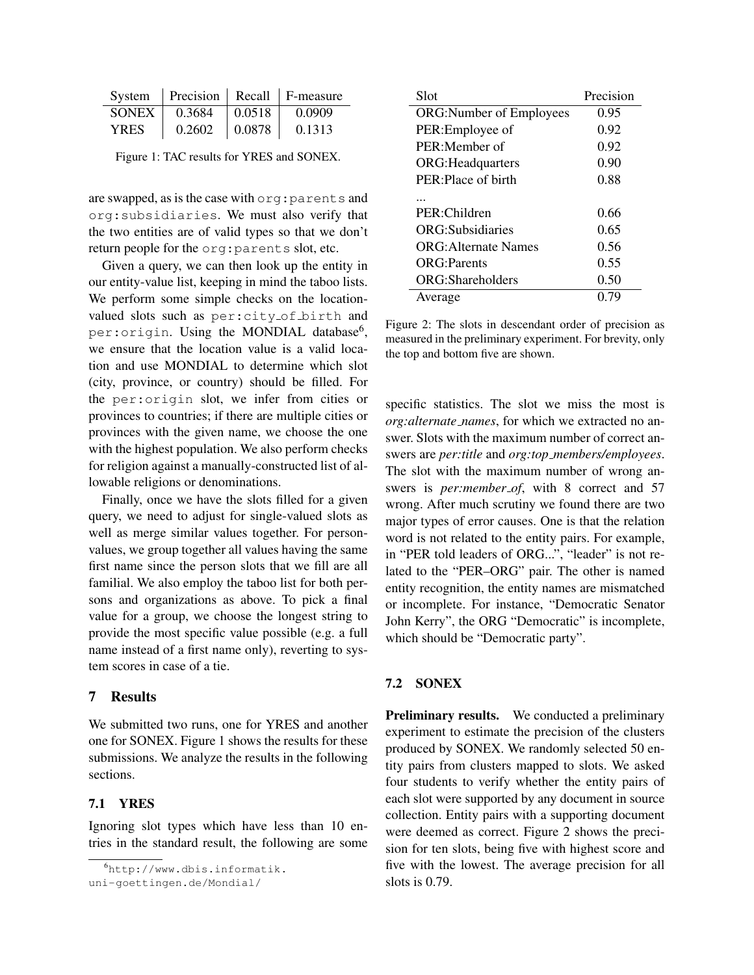<span id="page-4-2"></span>

|              |        |              | System   Precision   Recall   F-measure |
|--------------|--------|--------------|-----------------------------------------|
| <b>SONEX</b> | 0.3684 | $\pm 0.0518$ | 0.0909                                  |
| <b>YRES</b>  | 0.2602 | $\pm 0.0878$ | 0.1313                                  |

Figure 1: TAC results for YRES and SONEX.

are swapped, as is the case with org:parents and org:subsidiaries. We must also verify that the two entities are of valid types so that we don't return people for the org:parents slot, etc.

Given a query, we can then look up the entity in our entity-value list, keeping in mind the taboo lists. We perform some simple checks on the locationvalued slots such as per:city of birth and per: origin. Using the MONDIAL database<sup>6</sup>, we ensure that the location value is a valid location and use MONDIAL to determine which slot (city, province, or country) should be filled. For the per:origin slot, we infer from cities or provinces to countries; if there are multiple cities or provinces with the given name, we choose the one with the highest population. We also perform checks for religion against a manually-constructed list of allowable religions or denominations.

Finally, once we have the slots filled for a given query, we need to adjust for single-valued slots as well as merge similar values together. For personvalues, we group together all values having the same first name since the person slots that we fill are all familial. We also employ the taboo list for both persons and organizations as above. To pick a final value for a group, we choose the longest string to provide the most specific value possible (e.g. a full name instead of a first name only), reverting to system scores in case of a tie.

# <span id="page-4-0"></span>7 Results

We submitted two runs, one for YRES and another one for SONEX. Figure [1](#page-4-2) shows the results for these submissions. We analyze the results in the following sections.

### 7.1 YRES

Ignoring slot types which have less than 10 entries in the standard result, the following are some

<span id="page-4-1"></span>6 [http://www.dbis.informatik.](http://www.dbis.informatik.uni-goettingen.de/Mondial/)

[uni-goettingen.de/Mondial/](http://www.dbis.informatik.uni-goettingen.de/Mondial/)

<span id="page-4-3"></span>

| Slot                           | Precision |
|--------------------------------|-----------|
| <b>ORG:Number of Employees</b> | 0.95      |
| PER:Employee of                | 0.92      |
| PER:Member of                  | 0.92      |
| <b>ORG: Headquarters</b>       | 0.90      |
| PER: Place of birth            | 0.88      |
|                                |           |
| PER:Children                   | 0.66      |
| ORG:Subsidiaries               | 0.65      |
| <b>ORG:</b> Alternate Names    | 0.56      |
| <b>ORG:Parents</b>             | 0.55      |
| ORG: Shareholders              | 0.50      |
| Average                        | 0.79      |

Figure 2: The slots in descendant order of precision as measured in the preliminary experiment. For brevity, only the top and bottom five are shown.

specific statistics. The slot we miss the most is *org:alternate names*, for which we extracted no answer. Slots with the maximum number of correct answers are *per:title* and *org:top members/employees*. The slot with the maximum number of wrong answers is *per:member\_of*, with 8 correct and 57 wrong. After much scrutiny we found there are two major types of error causes. One is that the relation word is not related to the entity pairs. For example, in "PER told leaders of ORG...", "leader" is not related to the "PER–ORG" pair. The other is named entity recognition, the entity names are mismatched or incomplete. For instance, "Democratic Senator John Kerry", the ORG "Democratic" is incomplete, which should be "Democratic party".

### 7.2 SONEX

Preliminary results. We conducted a preliminary experiment to estimate the precision of the clusters produced by SONEX. We randomly selected 50 entity pairs from clusters mapped to slots. We asked four students to verify whether the entity pairs of each slot were supported by any document in source collection. Entity pairs with a supporting document were deemed as correct. Figure [2](#page-4-3) shows the precision for ten slots, being five with highest score and five with the lowest. The average precision for all slots is 0.79.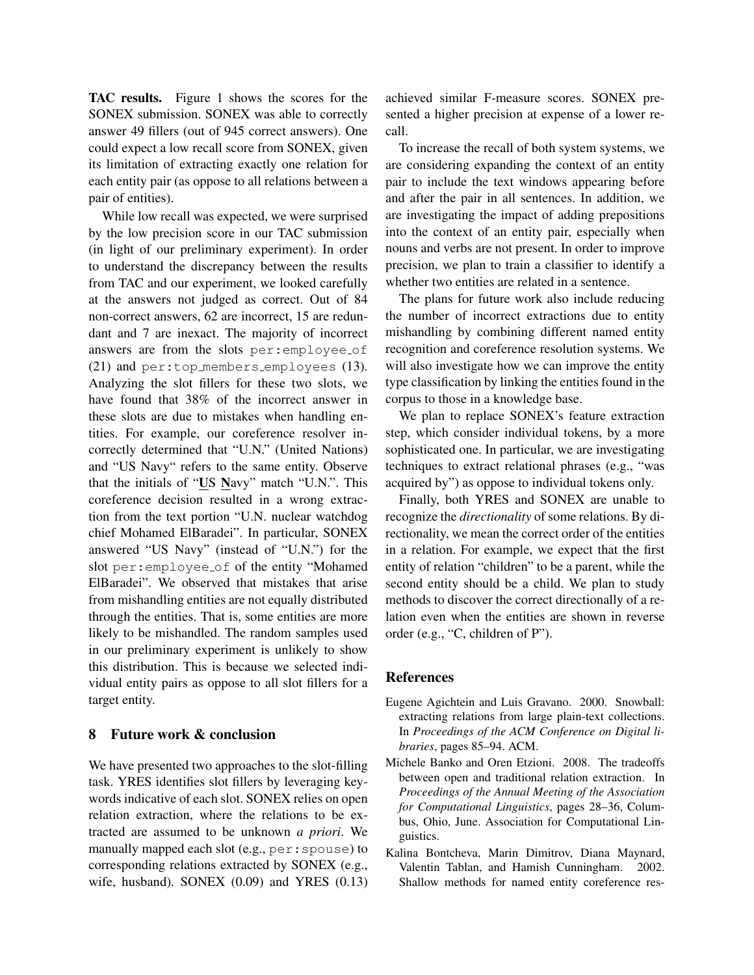TAC results. Figure [1](#page-4-2) shows the scores for the SONEX submission. SONEX was able to correctly answer 49 fillers (out of 945 correct answers). One could expect a low recall score from SONEX, given its limitation of extracting exactly one relation for each entity pair (as oppose to all relations between a pair of entities).

While low recall was expected, we were surprised by the low precision score in our TAC submission (in light of our preliminary experiment). In order to understand the discrepancy between the results from TAC and our experiment, we looked carefully at the answers not judged as correct. Out of 84 non-correct answers, 62 are incorrect, 15 are redundant and 7 are inexact. The majority of incorrect answers are from the slots per:employee of (21) and per:top members employees (13). Analyzing the slot fillers for these two slots, we have found that 38% of the incorrect answer in these slots are due to mistakes when handling entities. For example, our coreference resolver incorrectly determined that "U.N." (United Nations) and "US Navy" refers to the same entity. Observe that the initials of "US Navy" match "U.N.". This coreference decision resulted in a wrong extraction from the text portion "U.N. nuclear watchdog chief Mohamed ElBaradei". In particular, SONEX answered "US Navy" (instead of "U.N.") for the slot per:employee of of the entity "Mohamed ElBaradei". We observed that mistakes that arise from mishandling entities are not equally distributed through the entities. That is, some entities are more likely to be mishandled. The random samples used in our preliminary experiment is unlikely to show this distribution. This is because we selected individual entity pairs as oppose to all slot fillers for a target entity.

### <span id="page-5-1"></span>8 Future work & conclusion

We have presented two approaches to the slot-filling task. YRES identifies slot fillers by leveraging keywords indicative of each slot. SONEX relies on open relation extraction, where the relations to be extracted are assumed to be unknown *a priori*. We manually mapped each slot (e.g., per:spouse) to corresponding relations extracted by SONEX (e.g., wife, husband). SONEX (0.09) and YRES (0.13) achieved similar F-measure scores. SONEX presented a higher precision at expense of a lower recall.

To increase the recall of both system systems, we are considering expanding the context of an entity pair to include the text windows appearing before and after the pair in all sentences. In addition, we are investigating the impact of adding prepositions into the context of an entity pair, especially when nouns and verbs are not present. In order to improve precision, we plan to train a classifier to identify a whether two entities are related in a sentence.

The plans for future work also include reducing the number of incorrect extractions due to entity mishandling by combining different named entity recognition and coreference resolution systems. We will also investigate how we can improve the entity type classification by linking the entities found in the corpus to those in a knowledge base.

We plan to replace SONEX's feature extraction step, which consider individual tokens, by a more sophisticated one. In particular, we are investigating techniques to extract relational phrases (e.g., "was acquired by") as oppose to individual tokens only.

Finally, both YRES and SONEX are unable to recognize the *directionality* of some relations. By directionality, we mean the correct order of the entities in a relation. For example, we expect that the first entity of relation "children" to be a parent, while the second entity should be a child. We plan to study methods to discover the correct directionally of a relation even when the entities are shown in reverse order (e.g., "C, children of P").

### References

- <span id="page-5-2"></span>Eugene Agichtein and Luis Gravano. 2000. Snowball: extracting relations from large plain-text collections. In *Proceedings of the ACM Conference on Digital libraries*, pages 85–94. ACM.
- <span id="page-5-0"></span>Michele Banko and Oren Etzioni. 2008. The tradeoffs between open and traditional relation extraction. In *Proceedings of the Annual Meeting of the Association for Computational Linguistics*, pages 28–36, Columbus, Ohio, June. Association for Computational Linguistics.
- <span id="page-5-3"></span>Kalina Bontcheva, Marin Dimitrov, Diana Maynard, Valentin Tablan, and Hamish Cunningham. 2002. Shallow methods for named entity coreference res-